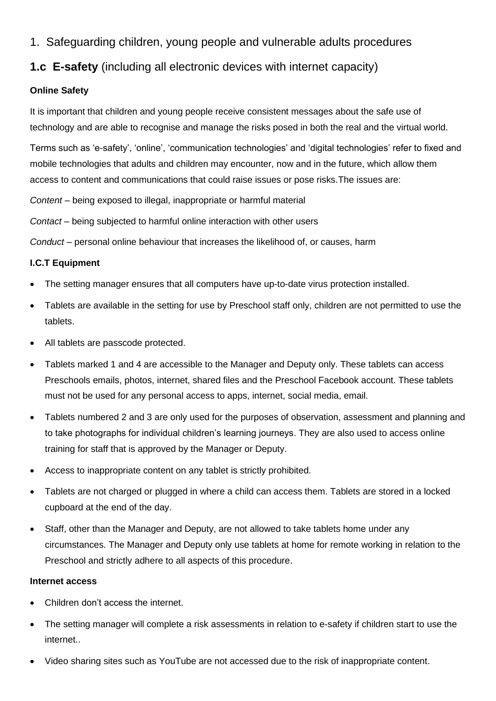1. Safeguarding children, young people and vulnerable adults procedures

# **1.c E-safety** (including all electronic devices with internet capacity)

# **Online Safety**

It is important that children and young people receive consistent messages about the safe use of technology and are able to recognise and manage the risks posed in both the real and the virtual world.

Terms such as 'e-safety', 'online', 'communication technologies' and 'digital technologies' refer to fixed and mobile technologies that adults and children may encounter, now and in the future, which allow them access to content and communications that could raise issues or pose risks.The issues are:

*Content* – being exposed to illegal, inappropriate or harmful material

*Contact* – being subjected to harmful online interaction with other users

*Conduct* – personal online behaviour that increases the likelihood of, or causes, harm

## **I.C.T Equipment**

- The setting manager ensures that all computers have up-to-date virus protection installed.
- Tablets are available in the setting for use by Preschool staff only, children are not permitted to use the tablets.
- All tablets are passcode protected.
- Tablets marked 1 and 4 are accessible to the Manager and Deputy only. These tablets can access Preschools emails, photos, internet, shared files and the Preschool Facebook account. These tablets must not be used for any personal access to apps, internet, social media, email.
- Tablets numbered 2 and 3 are only used for the purposes of observation, assessment and planning and to take photographs for individual children's learning journeys. They are also used to access online training for staff that is approved by the Manager or Deputy.
- Access to inappropriate content on any tablet is strictly prohibited.
- Tablets are not charged or plugged in where a child can access them. Tablets are stored in a locked cupboard at the end of the day.
- Staff, other than the Manager and Deputy, are not allowed to take tablets home under any circumstances. The Manager and Deputy only use tablets at home for remote working in relation to the Preschool and strictly adhere to all aspects of this procedure.

## **Internet access**

- Children don't access the internet.
- The setting manager will complete a risk assessments in relation to e-safety if children start to use the internet..
- Video sharing sites such as YouTube are not accessed due to the risk of inappropriate content.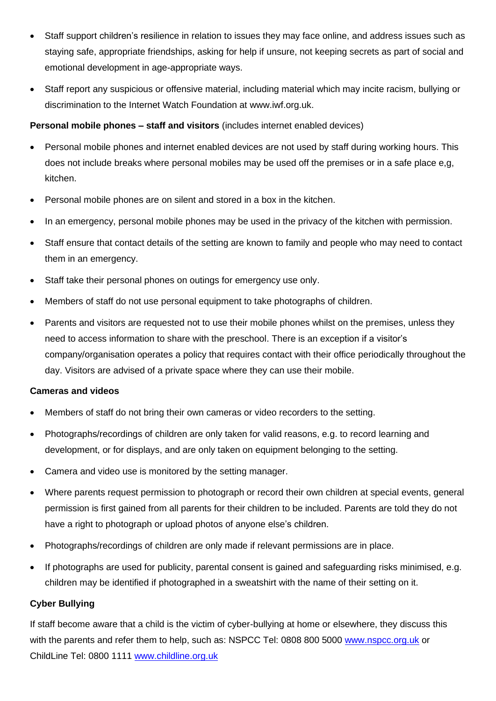- Staff support children's resilience in relation to issues they may face online, and address issues such as staying safe, appropriate friendships, asking for help if unsure, not keeping secrets as part of social and emotional development in age-appropriate ways.
- Staff report any suspicious or offensive material, including material which may incite racism, bullying or discrimination to the Internet Watch Foundation at [www.iwf.org.uk.](http://www.iwf.org.uk/)

## **Personal mobile phones – staff and visitors** (includes internet enabled devices)

- Personal mobile phones and internet enabled devices are not used by staff during working hours. This does not include breaks where personal mobiles may be used off the premises or in a safe place e,g, kitchen.
- Personal mobile phones are on silent and stored in a box in the kitchen.
- In an emergency, personal mobile phones may be used in the privacy of the kitchen with permission.
- Staff ensure that contact details of the setting are known to family and people who may need to contact them in an emergency.
- Staff take their personal phones on outings for emergency use only.
- Members of staff do not use personal equipment to take photographs of children.
- Parents and visitors are requested not to use their mobile phones whilst on the premises, unless they need to access information to share with the preschool. There is an exception if a visitor's company/organisation operates a policy that requires contact with their office periodically throughout the day. Visitors are advised of a private space where they can use their mobile.

#### **Cameras and videos**

- Members of staff do not bring their own cameras or video recorders to the setting.
- Photographs/recordings of children are only taken for valid reasons, e.g. to record learning and development, or for displays, and are only taken on equipment belonging to the setting.
- Camera and video use is monitored by the setting manager.
- Where parents request permission to photograph or record their own children at special events, general permission is first gained from all parents for their children to be included. Parents are told they do not have a right to photograph or upload photos of anyone else's children.
- Photographs/recordings of children are only made if relevant permissions are in place.
- If photographs are used for publicity, parental consent is gained and safeguarding risks minimised, e.g. children may be identified if photographed in a sweatshirt with the name of their setting on it.

## **Cyber Bullying**

If staff become aware that a child is the victim of cyber-bullying at home or elsewhere, they discuss this with the parents and refer them to help, such as: NSPCC Tel: 0808 800 5000 [www.nspcc.org.uk](http://www.nspcc.org.uk/) or ChildLine Tel: 0800 1111 [www.childline.org.uk](http://www.childline.org.uk/)